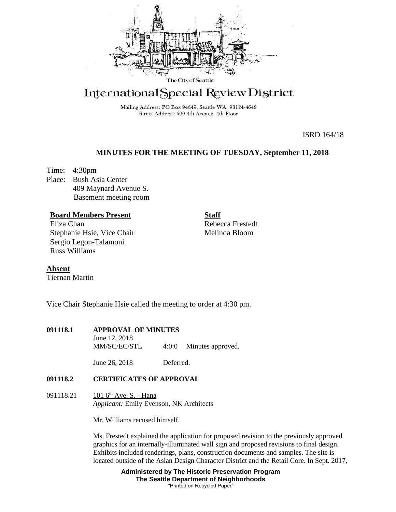

# International Special Review District

Mailing Address: PO Box 94649, Seattle WA 98124-4649 Street Address: 600 4th Avenue, 4th Floor

ISRD 164/18

# **MINUTES FOR THE MEETING OF TUESDAY, September 11, 2018**

Time: 4:30pm Place: Bush Asia Center 409 Maynard Avenue S. Basement meeting room

## **Board Members Present**

Eliza Chan Stephanie Hsie, Vice Chair Sergio Legon-Talamoni Russ Williams

**Staff** Rebecca Frestedt Melinda Bloom

**Absent** Tiernan Martin

Vice Chair Stephanie Hsie called the meeting to order at 4:30 pm.

| 091118.1 | <b>APPROVAL OF MINUTES</b> |       |                   |
|----------|----------------------------|-------|-------------------|
|          | June 12, 2018              |       |                   |
|          | MM/SC/EC/STL               | 4:0:0 | Minutes approved. |

June 26, 2018 Deferred.

## **091118.2 CERTIFICATES OF APPROVAL**

091118.21 101 6<sup>th</sup> Ave. S. - Hana *Applicant:* Emily Evenson, NK Architects

Mr. Williams recused himself.

Ms. Frestedt explained the application for proposed revision to the previously approved graphics for an internally-illuminated wall sign and proposed revisions to final design. Exhibits included renderings, plans, construction documents and samples. The site is located outside of the Asian Design Character District and the Retail Core. In Sept. 2017,

> **Administered by The Historic Preservation Program The Seattle Department of Neighborhoods** "Printed on Recycled Paper"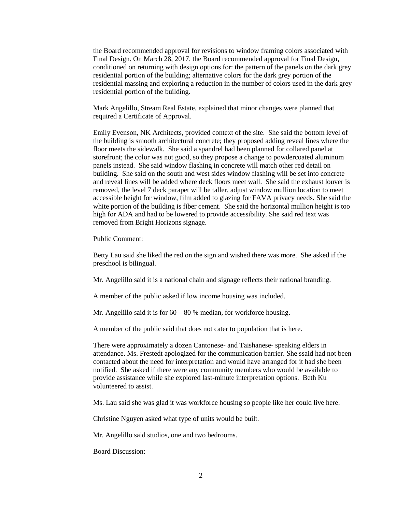the Board recommended approval for revisions to window framing colors associated with Final Design. On March 28, 2017, the Board recommended approval for Final Design, conditioned on returning with design options for: the pattern of the panels on the dark grey residential portion of the building; alternative colors for the dark grey portion of the residential massing and exploring a reduction in the number of colors used in the dark grey residential portion of the building.

Mark Angelillo, Stream Real Estate, explained that minor changes were planned that required a Certificate of Approval.

Emily Evenson, NK Architects, provided context of the site. She said the bottom level of the building is smooth architectural concrete; they proposed adding reveal lines where the floor meets the sidewalk. She said a spandrel had been planned for collared panel at storefront; the color was not good, so they propose a change to powdercoated aluminum panels instead. She said window flashing in concrete will match other red detail on building. She said on the south and west sides window flashing will be set into concrete and reveal lines will be added where deck floors meet wall. She said the exhaust louver is removed, the level 7 deck parapet will be taller, adjust window mullion location to meet accessible height for window, film added to glazing for FAVA privacy needs. She said the white portion of the building is fiber cement. She said the horizontal mullion height is too high for ADA and had to be lowered to provide accessibility. She said red text was removed from Bright Horizons signage.

Public Comment:

Betty Lau said she liked the red on the sign and wished there was more. She asked if the preschool is bilingual.

Mr. Angelillo said it is a national chain and signage reflects their national branding.

A member of the public asked if low income housing was included.

Mr. Angelillo said it is for  $60 - 80$  % median, for workforce housing.

A member of the public said that does not cater to population that is here.

There were approximately a dozen Cantonese- and Taishanese- speaking elders in attendance. Ms. Frestedt apologized for the communication barrier. She ssaid had not been contacted about the need for interpretation and would have arranged for it had she been notified. She asked if there were any community members who would be available to provide assistance while she explored last-minute interpretation options. Beth Ku volunteered to assist.

Ms. Lau said she was glad it was workforce housing so people like her could live here.

Christine Nguyen asked what type of units would be built.

Mr. Angelillo said studios, one and two bedrooms.

Board Discussion: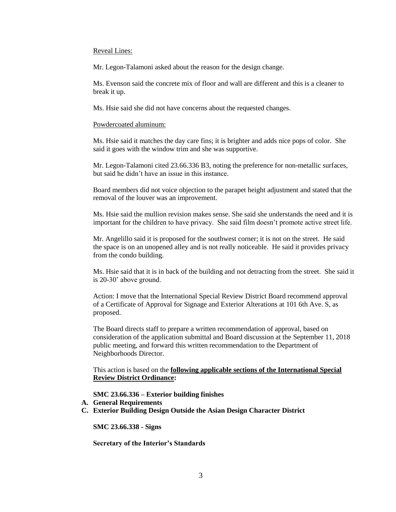#### Reveal Lines:

Mr. Legon-Talamoni asked about the reason for the design change.

Ms. Evenson said the concrete mix of floor and wall are different and this is a cleaner to break it up.

Ms. Hsie said she did not have concerns about the requested changes.

#### Powdercoated aluminum:

Ms. Hsie said it matches the day care fins; it is brighter and adds nice pops of color. She said it goes with the window trim and she was supportive.

Mr. Legon-Talamoni cited 23.66.336 B3, noting the preference for non-metallic surfaces, but said he didn't have an issue in this instance.

Board members did not voice objection to the parapet height adjustment and stated that the removal of the louver was an improvement.

Ms. Hsie said the mullion revision makes sense. She said she understands the need and it is important for the children to have privacy. She said film doesn't promote active street life.

Mr. Angelillo said it is proposed for the southwest corner; it is not on the street. He said the space is on an unopened alley and is not really noticeable. He said it provides privacy from the condo building.

Ms. Hsie said that it is in back of the building and not detracting from the street. She said it is 20-30' above ground.

Action: I move that the International Special Review District Board recommend approval of a Certificate of Approval for Signage and Exterior Alterations at 101 6th Ave. S, as proposed.

The Board directs staff to prepare a written recommendation of approval, based on consideration of the application submittal and Board discussion at the September 11, 2018 public meeting, and forward this written recommendation to the Department of Neighborhoods Director.

This action is based on the **following applicable sections of the International Special Review District Ordinance:** 

**SMC 23.66.336 – Exterior building finishes**

### **A. General Requirements**

**C. Exterior Building Design Outside the Asian Design Character District**

**SMC 23.66.338 - Signs**

**Secretary of the Interior's Standards**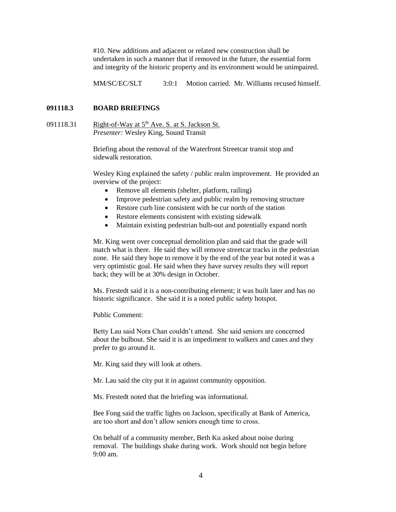#10. New additions and adjacent or related new construction shall be undertaken in such a manner that if removed in the future, the essential form and integrity of the historic property and its environment would be unimpaired.

MM/SC/EC/SLT 3:0:1 Motion carried. Mr. Williams recused himself.

## **091118.3 BOARD BRIEFINGS**

091118.31 Right-of-Way at  $5<sup>th</sup>$  Ave. S. at S. Jackson St. *Presenter:* Wesley King, Sound Transit

> Briefing about the removal of the Waterfront Streetcar transit stop and sidewalk restoration.

Wesley King explained the safety / public realm improvement. He provided an overview of the project:

- Remove all elements (shelter, platform, railing)
- Improve pedestrian safety and public realm by removing structure
- Restore curb line consistent with he cur north of the station
- Restore elements consistent with existing sidewalk
- Maintain existing pedestrian bulb-out and potentially expand north

Mr. King went over conceptual demolition plan and said that the grade will match what is there. He said they will remove streetcar tracks in the pedestrian zone. He said they hope to remove it by the end of the year but noted it was a very optimistic goal. He said when they have survey results they will report back; they will be at 30% design in October.

Ms. Frestedt said it is a non-contributing element; it was built later and has no historic significance. She said it is a noted public safety hotspot.

Public Comment:

Betty Lau said Nora Chan couldn't attend. She said seniors are concerned about the bulbout. She said it is an impediment to walkers and canes and they prefer to go around it.

Mr. King said they will look at others.

Mr. Lau said the city put it in against community opposition.

Ms. Frestedt noted that the briefing was informational.

Bee Fong said the traffic lights on Jackson, specifically at Bank of America, are too short and don't allow seniors enough time to cross.

On behalf of a community member, Beth Ku asked about noise during removal. The buildings shake during work. Work should not begin before 9:00 am.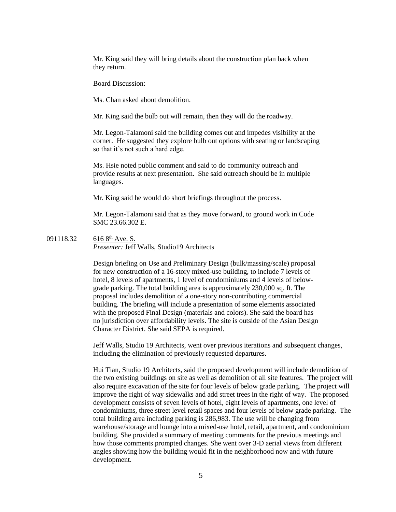Mr. King said they will bring details about the construction plan back when they return.

Board Discussion:

Ms. Chan asked about demolition.

Mr. King said the bulb out will remain, then they will do the roadway.

Mr. Legon-Talamoni said the building comes out and impedes visibility at the corner. He suggested they explore bulb out options with seating or landscaping so that it's not such a hard edge.

Ms. Hsie noted public comment and said to do community outreach and provide results at next presentation. She said outreach should be in multiple languages.

Mr. King said he would do short briefings throughout the process.

Mr. Legon-Talamoni said that as they move forward, to ground work in Code SMC 23.66.302 E.

091118.32 616 8<sup>th</sup> Ave. S.

*Presenter:* Jeff Walls, Studio19 Architects

Design briefing on Use and Preliminary Design (bulk/massing/scale) proposal for new construction of a 16-story mixed-use building, to include 7 levels of hotel, 8 levels of apartments, 1 level of condominiums and 4 levels of belowgrade parking. The total building area is approximately 230,000 sq. ft. The proposal includes demolition of a one-story non-contributing commercial building. The briefing will include a presentation of some elements associated with the proposed Final Design (materials and colors). She said the board has no jurisdiction over affordability levels. The site is outside of the Asian Design Character District. She said SEPA is required.

Jeff Walls, Studio 19 Architects, went over previous iterations and subsequent changes, including the elimination of previously requested departures.

Hui Tian, Studio 19 Architects, said the proposed development will include demolition of the two existing buildings on site as well as demolition of all site features. The project will also require excavation of the site for four levels of below grade parking. The project will improve the right of way sidewalks and add street trees in the right of way. The proposed development consists of seven levels of hotel, eight levels of apartments, one level of condominiums, three street level retail spaces and four levels of below grade parking. The total building area including parking is 286,983. The use will be changing from warehouse/storage and lounge into a mixed-use hotel, retail, apartment, and condominium building. She provided a summary of meeting comments for the previous meetings and how those comments prompted changes. She went over 3-D aerial views from different angles showing how the building would fit in the neighborhood now and with future development.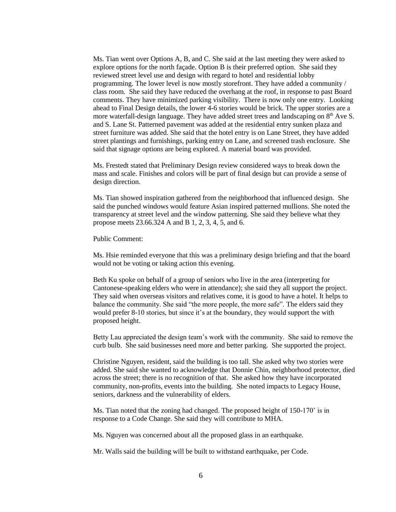Ms. Tian went over Options A, B, and C. She said at the last meeting they were asked to explore options for the north façade. Option B is their preferred option. She said they reviewed street level use and design with regard to hotel and residential lobby programming. The lower level is now mostly storefront. They have added a community / class room. She said they have reduced the overhang at the roof, in response to past Board comments. They have minimized parking visibility. There is now only one entry. Looking ahead to Final Design details, the lower 4-6 stories would be brick. The upper stories are a more waterfall-design language. They have added street trees and landscaping on  $8<sup>th</sup>$  Ave S. and S. Lane St. Patterned pavement was added at the residential entry sunken plaza and street furniture was added. She said that the hotel entry is on Lane Street, they have added street plantings and furnishings, parking entry on Lane, and screened trash enclosure. She said that signage options are being explored. A material board was provided.

Ms. Frestedt stated that Preliminary Design review considered ways to break down the mass and scale. Finishes and colors will be part of final design but can provide a sense of design direction.

Ms. Tian showed inspiration gathered from the neighborhood that influenced design. She said the punched windows would feature Asian inspired patterned mullions. She noted the transparency at street level and the window patterning. She said they believe what they propose meets 23.66.324 A and B 1, 2, 3, 4, 5, and 6.

Public Comment:

Ms. Hsie reminded everyone that this was a preliminary design briefing and that the board would not be voting or taking action this evening.

Beth Ku spoke on behalf of a group of seniors who live in the area (interpreting for Cantonese-speaking elders who were in attendance); she said they all support the project. They said when overseas visitors and relatives come, it is good to have a hotel. It helps to balance the community. She said "the more people, the more safe". The elders said they would prefer 8-10 stories, but since it's at the boundary, they would support the with proposed height.

Betty Lau appreciated the design team's work with the community. She said to remove the curb bulb. She said businesses need more and better parking. She supported the project.

Christine Nguyen, resident, said the building is too tall. She asked why two stories were added. She said she wanted to acknowledge that Donnie Chin, neighborhood protector, died across the street; there is no recognition of that. She asked how they have incorporated community, non-profits, events into the building. She noted impacts to Legacy House, seniors, darkness and the vulnerability of elders.

Ms. Tian noted that the zoning had changed. The proposed height of 150-170' is in response to a Code Change. She said they will contribute to MHA.

Ms. Nguyen was concerned about all the proposed glass in an earthquake.

Mr. Walls said the building will be built to withstand earthquake, per Code.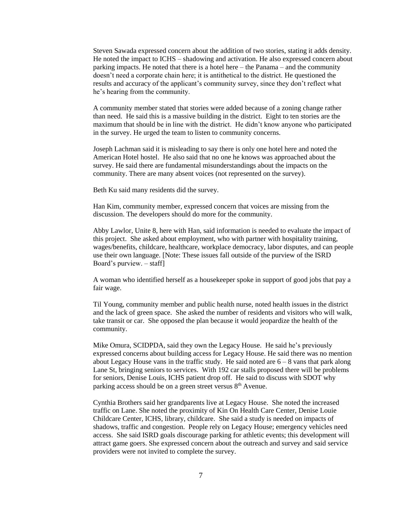Steven Sawada expressed concern about the addition of two stories, stating it adds density. He noted the impact to ICHS – shadowing and activation. He also expressed concern about parking impacts. He noted that there is a hotel here – the Panama – and the community doesn't need a corporate chain here; it is antithetical to the district. He questioned the results and accuracy of the applicant's community survey, since they don't reflect what he's hearing from the community.

A community member stated that stories were added because of a zoning change rather than need. He said this is a massive building in the district. Eight to ten stories are the maximum that should be in line with the district. He didn't know anyone who participated in the survey. He urged the team to listen to community concerns.

Joseph Lachman said it is misleading to say there is only one hotel here and noted the American Hotel hostel. He also said that no one he knows was approached about the survey. He said there are fundamental misunderstandings about the impacts on the community. There are many absent voices (not represented on the survey).

Beth Ku said many residents did the survey.

Han Kim, community member, expressed concern that voices are missing from the discussion. The developers should do more for the community.

Abby Lawlor, Unite 8, here with Han, said information is needed to evaluate the impact of this project. She asked about employment, who with partner with hospitality training, wages/benefits, childcare, healthcare, workplace democracy, labor disputes, and can people use their own language. [Note: These issues fall outside of the purview of the ISRD Board's purview. – staff]

A woman who identified herself as a housekeeper spoke in support of good jobs that pay a fair wage.

Til Young, community member and public health nurse, noted health issues in the district and the lack of green space. She asked the number of residents and visitors who will walk, take transit or car. She opposed the plan because it would jeopardize the health of the community.

Mike Omura, SCIDPDA, said they own the Legacy House. He said he's previously expressed concerns about building access for Legacy House. He said there was no mention about Legacy House vans in the traffic study. He said noted are  $6 - 8$  vans that park along Lane St, bringing seniors to services. With 192 car stalls proposed there will be problems for seniors, Denise Louis, ICHS patient drop off. He said to discuss with SDOT why parking access should be on a green street versus  $8<sup>th</sup>$  Avenue.

Cynthia Brothers said her grandparents live at Legacy House. She noted the increased traffic on Lane. She noted the proximity of Kin On Health Care Center, Denise Louie Childcare Center, ICHS, library, childcare. She said a study is needed on impacts of shadows, traffic and congestion. People rely on Legacy House; emergency vehicles need access. She said ISRD goals discourage parking for athletic events; this development will attract game goers. She expressed concern about the outreach and survey and said service providers were not invited to complete the survey.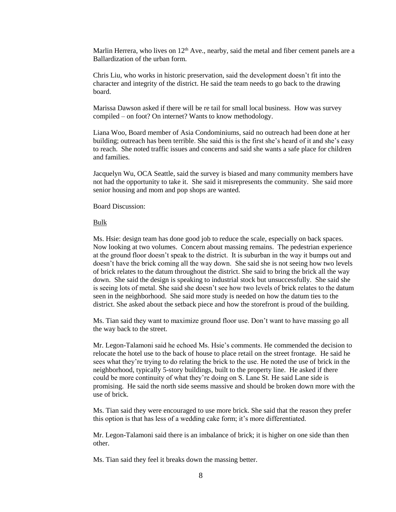Marlin Herrera, who lives on  $12<sup>th</sup>$  Ave., nearby, said the metal and fiber cement panels are a Ballardization of the urban form.

Chris Liu, who works in historic preservation, said the development doesn't fit into the character and integrity of the district. He said the team needs to go back to the drawing board.

Marissa Dawson asked if there will be re tail for small local business. How was survey compiled – on foot? On internet? Wants to know methodology.

Liana Woo, Board member of Asia Condominiums, said no outreach had been done at her building; outreach has been terrible. She said this is the first she's heard of it and she's easy to reach. She noted traffic issues and concerns and said she wants a safe place for children and families.

Jacquelyn Wu, OCA Seattle, said the survey is biased and many community members have not had the opportunity to take it. She said it misrepresents the community. She said more senior housing and mom and pop shops are wanted.

Board Discussion:

## Bulk

Ms. Hsie: design team has done good job to reduce the scale, especially on back spaces. Now looking at two volumes. Concern about massing remains. The pedestrian experience at the ground floor doesn't speak to the district. It is suburban in the way it bumps out and doesn't have the brick coming all the way down. She said she is not seeing how two levels of brick relates to the datum throughout the district. She said to bring the brick all the way down. She said the design is speaking to industrial stock but unsuccessfully. She said she is seeing lots of metal. She said she doesn't see how two levels of brick relates to the datum seen in the neighborhood. She said more study is needed on how the datum ties to the district. She asked about the setback piece and how the storefront is proud of the building.

Ms. Tian said they want to maximize ground floor use. Don't want to have massing go all the way back to the street.

Mr. Legon-Talamoni said he echoed Ms. Hsie's comments. He commended the decision to relocate the hotel use to the back of house to place retail on the street frontage. He said he sees what they're trying to do relating the brick to the use. He noted the use of brick in the neighborhood, typically 5-story buildings, built to the property line. He asked if there could be more continuity of what they're doing on S. Lane St. He said Lane side is promising. He said the north side seems massive and should be broken down more with the use of brick.

Ms. Tian said they were encouraged to use more brick. She said that the reason they prefer this option is that has less of a wedding cake form; it's more differentiated.

Mr. Legon-Talamoni said there is an imbalance of brick; it is higher on one side than then other.

Ms. Tian said they feel it breaks down the massing better.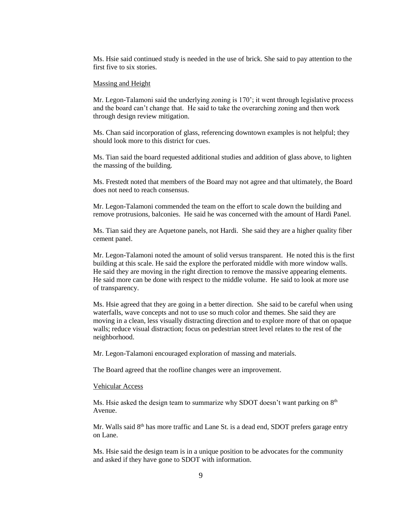Ms. Hsie said continued study is needed in the use of brick. She said to pay attention to the first five to six stories.

#### Massing and Height

Mr. Legon-Talamoni said the underlying zoning is 170'; it went through legislative process and the board can't change that. He said to take the overarching zoning and then work through design review mitigation.

Ms. Chan said incorporation of glass, referencing downtown examples is not helpful; they should look more to this district for cues.

Ms. Tian said the board requested additional studies and addition of glass above, to lighten the massing of the building.

Ms. Frestedt noted that members of the Board may not agree and that ultimately, the Board does not need to reach consensus.

Mr. Legon-Talamoni commended the team on the effort to scale down the building and remove protrusions, balconies. He said he was concerned with the amount of Hardi Panel.

Ms. Tian said they are Aquetone panels, not Hardi. She said they are a higher quality fiber cement panel.

Mr. Legon-Talamoni noted the amount of solid versus transparent. He noted this is the first building at this scale. He said the explore the perforated middle with more window walls. He said they are moving in the right direction to remove the massive appearing elements. He said more can be done with respect to the middle volume. He said to look at more use of transparency.

Ms. Hsie agreed that they are going in a better direction. She said to be careful when using waterfalls, wave concepts and not to use so much color and themes. She said they are moving in a clean, less visually distracting direction and to explore more of that on opaque walls; reduce visual distraction; focus on pedestrian street level relates to the rest of the neighborhood.

Mr. Legon-Talamoni encouraged exploration of massing and materials.

The Board agreed that the roofline changes were an improvement.

#### Vehicular Access

Ms. Hsie asked the design team to summarize why SDOT doesn't want parking on  $8<sup>th</sup>$ Avenue.

Mr. Walls said 8<sup>th</sup> has more traffic and Lane St. is a dead end, SDOT prefers garage entry on Lane.

Ms. Hsie said the design team is in a unique position to be advocates for the community and asked if they have gone to SDOT with information.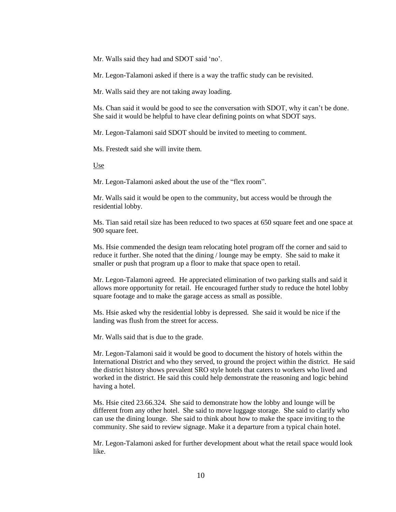Mr. Walls said they had and SDOT said 'no'.

Mr. Legon-Talamoni asked if there is a way the traffic study can be revisited.

Mr. Walls said they are not taking away loading.

Ms. Chan said it would be good to see the conversation with SDOT, why it can't be done. She said it would be helpful to have clear defining points on what SDOT says.

Mr. Legon-Talamoni said SDOT should be invited to meeting to comment.

Ms. Frestedt said she will invite them.

Use

Mr. Legon-Talamoni asked about the use of the "flex room".

Mr. Walls said it would be open to the community, but access would be through the residential lobby.

Ms. Tian said retail size has been reduced to two spaces at 650 square feet and one space at 900 square feet.

Ms. Hsie commended the design team relocating hotel program off the corner and said to reduce it further. She noted that the dining / lounge may be empty. She said to make it smaller or push that program up a floor to make that space open to retail.

Mr. Legon-Talamoni agreed. He appreciated elimination of two parking stalls and said it allows more opportunity for retail. He encouraged further study to reduce the hotel lobby square footage and to make the garage access as small as possible.

Ms. Hsie asked why the residential lobby is depressed. She said it would be nice if the landing was flush from the street for access.

Mr. Walls said that is due to the grade.

Mr. Legon-Talamoni said it would be good to document the history of hotels within the International District and who they served, to ground the project within the district. He said the district history shows prevalent SRO style hotels that caters to workers who lived and worked in the district. He said this could help demonstrate the reasoning and logic behind having a hotel.

Ms. Hsie cited 23.66.324. She said to demonstrate how the lobby and lounge will be different from any other hotel. She said to move luggage storage. She said to clarify who can use the dining lounge. She said to think about how to make the space inviting to the community. She said to review signage. Make it a departure from a typical chain hotel.

Mr. Legon-Talamoni asked for further development about what the retail space would look like.